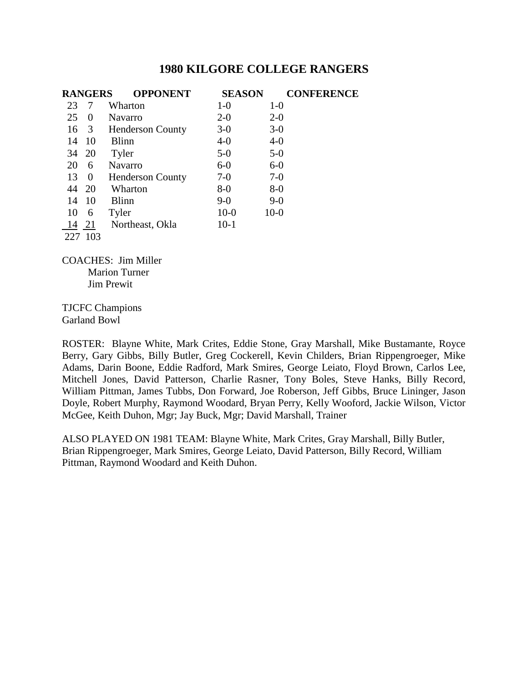|     | <b>RANGERS</b> | <b>OPPONENT</b>         | <b>SEASON</b> | <b>CONFERENCE</b> |
|-----|----------------|-------------------------|---------------|-------------------|
| 23  |                | Wharton                 | $1-0$         | $1-0$             |
| 25  | $\theta$       | <b>Navarro</b>          | $2 - 0$       | $2 - 0$           |
| 16  | 3              | <b>Henderson County</b> | $3-0$         | $3-0$             |
| 14  | 10             | <b>Blinn</b>            | $4 - 0$       | $4-0$             |
| 34  | 20             | Tyler                   | $5-0$         | $5-0$             |
| 20  | 6              | Navarro                 | $6-0$         | $6-0$             |
| 13  | $\theta$       | <b>Henderson County</b> | $7-0$         | $7-0$             |
| 44  | -20            | Wharton                 | $8-0$         | $8-0$             |
| 14  | 10             | Blinn                   | $9-0$         | $9-0$             |
| 10  | 6              | Tyler                   | $10-0$        | $10-0$            |
| 14  | 21             | Northeast, Okla         | $10-1$        |                   |
| 227 | 103            |                         |               |                   |

COACHES: Jim Miller Marion Turner Jim Prewit

TJCFC Champions Garland Bowl

ROSTER: Blayne White, Mark Crites, Eddie Stone, Gray Marshall, Mike Bustamante, Royce Berry, Gary Gibbs, Billy Butler, Greg Cockerell, Kevin Childers, Brian Rippengroeger, Mike Adams, Darin Boone, Eddie Radford, Mark Smires, George Leiato, Floyd Brown, Carlos Lee, Mitchell Jones, David Patterson, Charlie Rasner, Tony Boles, Steve Hanks, Billy Record, William Pittman, James Tubbs, Don Forward, Joe Roberson, Jeff Gibbs, Bruce Lininger, Jason Doyle, Robert Murphy, Raymond Woodard, Bryan Perry, Kelly Wooford, Jackie Wilson, Victor McGee, Keith Duhon, Mgr; Jay Buck, Mgr; David Marshall, Trainer

ALSO PLAYED ON 1981 TEAM: Blayne White, Mark Crites, Gray Marshall, Billy Butler, Brian Rippengroeger, Mark Smires, George Leiato, David Patterson, Billy Record, William Pittman, Raymond Woodard and Keith Duhon.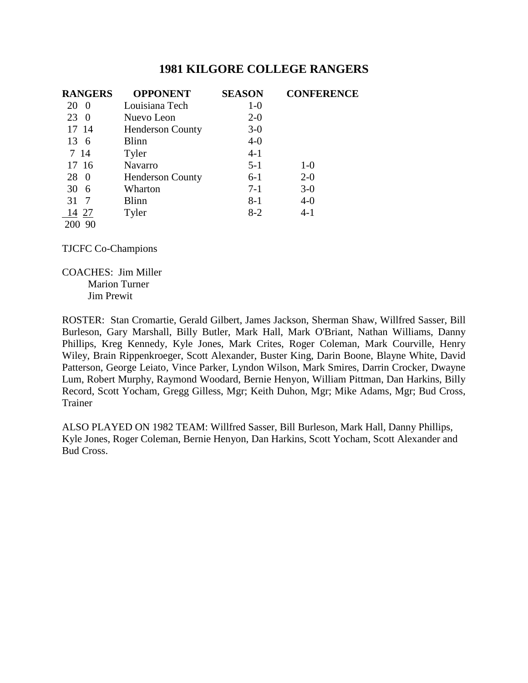| <b>RANGERS</b>       | <b>OPPONENT</b>         | <b>SEASON</b> | <b>CONFERENCE</b> |
|----------------------|-------------------------|---------------|-------------------|
| 20<br>$\overline{0}$ | Louisiana Tech          | $1-0$         |                   |
| 23<br>-0             | Nuevo Leon              | $2-0$         |                   |
| 17 14                | <b>Henderson County</b> | $3-0$         |                   |
| 13 6                 | <b>Blinn</b>            | $4-0$         |                   |
| 7 14                 | Tyler                   | $4-1$         |                   |
| 17 16                | Navarro                 | $5 - 1$       | $1-0$             |
| 28<br>-0             | <b>Henderson County</b> | $6-1$         | $2 - 0$           |
| 30<br>6              | Wharton                 | $7-1$         | $3-0$             |
| 31<br>-7             | <b>Blinn</b>            | $8 - 1$       | $4 - 0$           |
| 14 27                | Tyler                   | $8-2$         | $4 - 1$           |
| 200 90               |                         |               |                   |

TJCFC Co-Champions

COACHES: Jim Miller Marion Turner Jim Prewit

ROSTER: Stan Cromartie, Gerald Gilbert, James Jackson, Sherman Shaw, Willfred Sasser, Bill Burleson, Gary Marshall, Billy Butler, Mark Hall, Mark O'Briant, Nathan Williams, Danny Phillips, Kreg Kennedy, Kyle Jones, Mark Crites, Roger Coleman, Mark Courville, Henry Wiley, Brain Rippenkroeger, Scott Alexander, Buster King, Darin Boone, Blayne White, David Patterson, George Leiato, Vince Parker, Lyndon Wilson, Mark Smires, Darrin Crocker, Dwayne Lum, Robert Murphy, Raymond Woodard, Bernie Henyon, William Pittman, Dan Harkins, Billy Record, Scott Yocham, Gregg Gilless, Mgr; Keith Duhon, Mgr; Mike Adams, Mgr; Bud Cross, Trainer

ALSO PLAYED ON 1982 TEAM: Willfred Sasser, Bill Burleson, Mark Hall, Danny Phillips, Kyle Jones, Roger Coleman, Bernie Henyon, Dan Harkins, Scott Yocham, Scott Alexander and Bud Cross.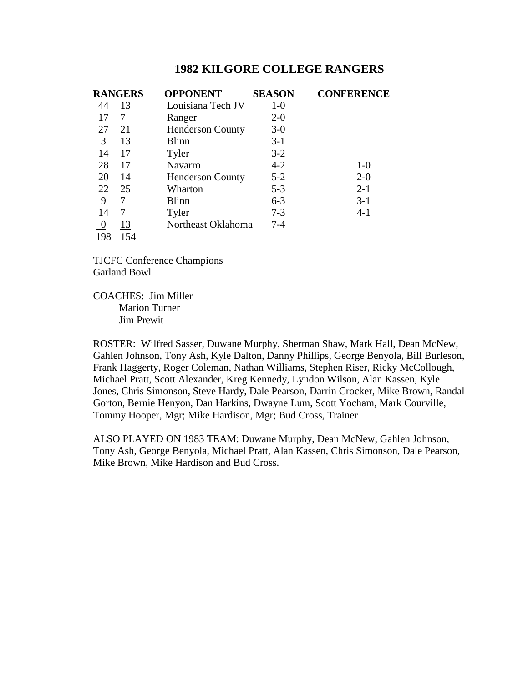| <b>RANGERS</b> |     | <b>OPPONENT</b>         | <b>SEASON</b> | <b>CONFERENCE</b> |
|----------------|-----|-------------------------|---------------|-------------------|
| 44             | 13  | Louisiana Tech JV       | $1-0$         |                   |
| 17             | 7   | Ranger                  | $2 - 0$       |                   |
| 27             | 21  | <b>Henderson County</b> | $3-0$         |                   |
| 3              | 13  | Blinn                   | $3-1$         |                   |
| 14             | 17  | Tyler                   | $3-2$         |                   |
| 28             | 17  | Navarro                 | $4 - 2$       | $1-0$             |
| 20             | 14  | <b>Henderson County</b> | $5 - 2$       | $2 - 0$           |
| 22             | 25  | Wharton                 | $5 - 3$       | $2 - 1$           |
| 9              | 7   | Blinn                   | $6 - 3$       | $3-1$             |
| 14             | 7   | Tyler                   | $7 - 3$       | $4-1$             |
|                | 13  | Northeast Oklahoma      | $7 - 4$       |                   |
| 198            | 154 |                         |               |                   |

TJCFC Conference Champions Garland Bowl

COACHES: Jim Miller Marion Turner Jim Prewit

ROSTER: Wilfred Sasser, Duwane Murphy, Sherman Shaw, Mark Hall, Dean McNew, Gahlen Johnson, Tony Ash, Kyle Dalton, Danny Phillips, George Benyola, Bill Burleson, Frank Haggerty, Roger Coleman, Nathan Williams, Stephen Riser, Ricky McCollough, Michael Pratt, Scott Alexander, Kreg Kennedy, Lyndon Wilson, Alan Kassen, Kyle Jones, Chris Simonson, Steve Hardy, Dale Pearson, Darrin Crocker, Mike Brown, Randal Gorton, Bernie Henyon, Dan Harkins, Dwayne Lum, Scott Yocham, Mark Courville, Tommy Hooper, Mgr; Mike Hardison, Mgr; Bud Cross, Trainer

ALSO PLAYED ON 1983 TEAM: Duwane Murphy, Dean McNew, Gahlen Johnson, Tony Ash, George Benyola, Michael Pratt, Alan Kassen, Chris Simonson, Dale Pearson, Mike Brown, Mike Hardison and Bud Cross.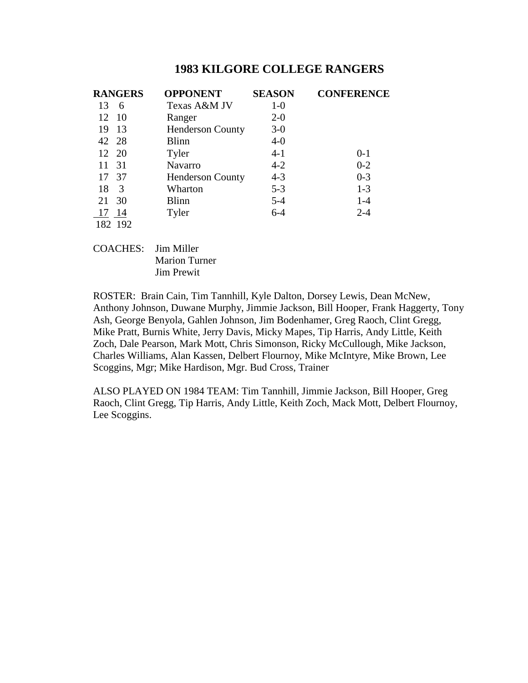| <b>RANGERS</b> | <b>OPPONENT</b>         | <b>SEASON</b> | <b>CONFERENCE</b> |
|----------------|-------------------------|---------------|-------------------|
| 13<br>6        | Texas A&M JV            | $1-0$         |                   |
| 12 10          | Ranger                  | $2 - 0$       |                   |
| 13<br>19       | <b>Henderson County</b> | $3-0$         |                   |
| 42 28          | <b>Blinn</b>            | $4-0$         |                   |
| 12 20          | Tyler                   | $4 - 1$       | $0 - 1$           |
| 31<br>11       | <b>Navarro</b>          | $4 - 2$       | $0 - 2$           |
| 17 37          | <b>Henderson County</b> | $4 - 3$       | $0 - 3$           |
| 18<br>-3       | Wharton                 | $5 - 3$       | $1-3$             |
| 30<br>21       | <b>Blinn</b>            | $5 - 4$       | $1 - 4$           |
| 17 14          | Tyler                   | $6 - 4$       | $2 - 4$           |
| 182 192        |                         |               |                   |

COACHES: Jim Miller Marion Turner Jim Prewit

ROSTER: Brain Cain, Tim Tannhill, Kyle Dalton, Dorsey Lewis, Dean McNew, Anthony Johnson, Duwane Murphy, Jimmie Jackson, Bill Hooper, Frank Haggerty, Tony Ash, George Benyola, Gahlen Johnson, Jim Bodenhamer, Greg Raoch, Clint Gregg, Mike Pratt, Burnis White, Jerry Davis, Micky Mapes, Tip Harris, Andy Little, Keith Zoch, Dale Pearson, Mark Mott, Chris Simonson, Ricky McCullough, Mike Jackson, Charles Williams, Alan Kassen, Delbert Flournoy, Mike McIntyre, Mike Brown, Lee Scoggins, Mgr; Mike Hardison, Mgr. Bud Cross, Trainer

ALSO PLAYED ON 1984 TEAM: Tim Tannhill, Jimmie Jackson, Bill Hooper, Greg Raoch, Clint Gregg, Tip Harris, Andy Little, Keith Zoch, Mack Mott, Delbert Flournoy, Lee Scoggins.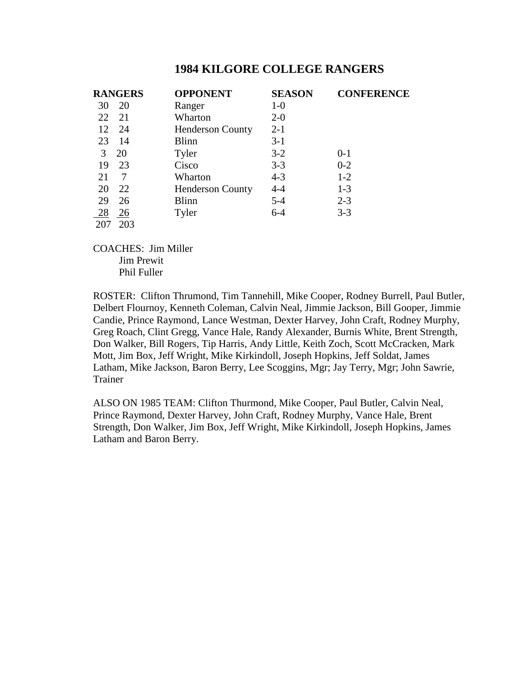|     | <b>RANGERS</b> | <b>OPPONENT</b>         | <b>SEASON</b> | <b>CONFERENCE</b> |
|-----|----------------|-------------------------|---------------|-------------------|
| 30  | 20             | Ranger                  | $1-0$         |                   |
| 22  | 21             | Wharton                 | $2 - 0$       |                   |
| 12  | 24             | <b>Henderson County</b> | $2 - 1$       |                   |
| 23  | -14            | <b>Blinn</b>            | $3-1$         |                   |
| 3   | 20             | Tyler                   | $3 - 2$       | $0 - 1$           |
| 19  | 23             | Cisco                   | $3 - 3$       | $0 - 2$           |
| 21  | 7              | Wharton                 | $4 - 3$       | $1-2$             |
| 20  | 22             | <b>Henderson County</b> | $4 - 4$       | $1 - 3$           |
| 29  | 26             | <b>Blinn</b>            | $5 - 4$       | $2 - 3$           |
| 28  | 26             | Tyler                   | $6 - 4$       | $3 - 3$           |
| 207 | 203            |                         |               |                   |

COACHES: Jim Miller Jim Prewit Phil Fuller

ROSTER: Clifton Thrumond, Tim Tannehill, Mike Cooper, Rodney Burrell, Paul Butler, Delbert Flournoy, Kenneth Coleman, Calvin Neal, Jimmie Jackson, Bill Gooper, Jimmie Candie, Prince Raymond, Lance Westman, Dexter Harvey, John Craft, Rodney Murphy, Greg Roach, Clint Gregg, Vance Hale, Randy Alexander, Burnis White, Brent Strength, Don Walker, Bill Rogers, Tip Harris, Andy Little, Keith Zoch, Scott McCracken, Mark Mott, Jim Box, Jeff Wright, Mike Kirkindoll, Joseph Hopkins, Jeff Soldat, James Latham, Mike Jackson, Baron Berry, Lee Scoggins, Mgr; Jay Terry, Mgr; John Sawrie, Trainer

ALSO ON 1985 TEAM: Clifton Thurmond, Mike Cooper, Paul Butler, Calvin Neal, Prince Raymond, Dexter Harvey, John Craft, Rodney Murphy, Vance Hale, Brent Strength, Don Walker, Jim Box, Jeff Wright, Mike Kirkindoll, Joseph Hopkins, James Latham and Baron Berry.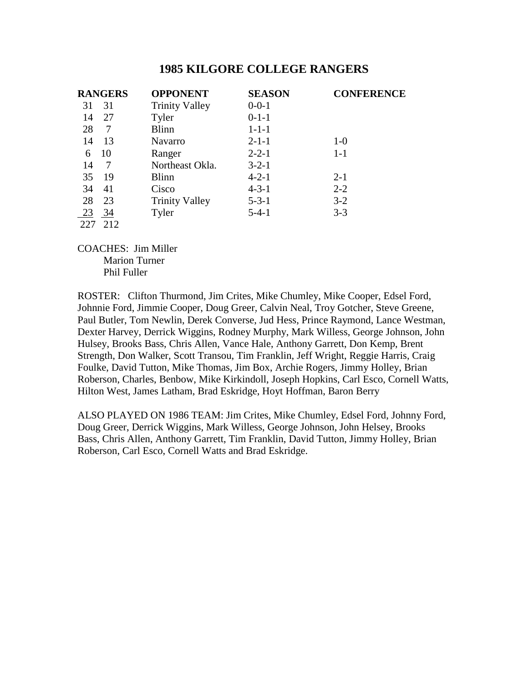|     | <b>RANGERS</b> | <b>OPPONENT</b>       | <b>SEASON</b> | <b>CONFERENCE</b> |
|-----|----------------|-----------------------|---------------|-------------------|
| 31  | 31             | <b>Trinity Valley</b> | $0 - 0 - 1$   |                   |
| 14  | 27             | Tyler                 | $0-1-1$       |                   |
| 28  | 7              | <b>Blinn</b>          | $1 - 1 - 1$   |                   |
| 14  | 13             | Navarro               | $2 - 1 - 1$   | $1-0$             |
| 6   | 10             | Ranger                | $2 - 2 - 1$   | $1 - 1$           |
| 14  | 7              | Northeast Okla.       | $3 - 2 - 1$   |                   |
| 35  | -19            | <b>Blinn</b>          | $4 - 2 - 1$   | $2 - 1$           |
| 34  | 41             | Cisco                 | $4 - 3 - 1$   | $2 - 2$           |
| 28  | 23             | <b>Trinity Valley</b> | $5 - 3 - 1$   | $3-2$             |
| 23  | 34             | Tyler                 | $5-4-1$       | $3 - 3$           |
| 227 | 212            |                       |               |                   |

COACHES: Jim Miller Marion Turner Phil Fuller

ROSTER: Clifton Thurmond, Jim Crites, Mike Chumley, Mike Cooper, Edsel Ford, Johnnie Ford, Jimmie Cooper, Doug Greer, Calvin Neal, Troy Gotcher, Steve Greene, Paul Butler, Tom Newlin, Derek Converse, Jud Hess, Prince Raymond, Lance Westman, Dexter Harvey, Derrick Wiggins, Rodney Murphy, Mark Willess, George Johnson, John Hulsey, Brooks Bass, Chris Allen, Vance Hale, Anthony Garrett, Don Kemp, Brent Strength, Don Walker, Scott Transou, Tim Franklin, Jeff Wright, Reggie Harris, Craig Foulke, David Tutton, Mike Thomas, Jim Box, Archie Rogers, Jimmy Holley, Brian Roberson, Charles, Benbow, Mike Kirkindoll, Joseph Hopkins, Carl Esco, Cornell Watts, Hilton West, James Latham, Brad Eskridge, Hoyt Hoffman, Baron Berry

ALSO PLAYED ON 1986 TEAM: Jim Crites, Mike Chumley, Edsel Ford, Johnny Ford, Doug Greer, Derrick Wiggins, Mark Willess, George Johnson, John Helsey, Brooks Bass, Chris Allen, Anthony Garrett, Tim Franklin, David Tutton, Jimmy Holley, Brian Roberson, Carl Esco, Cornell Watts and Brad Eskridge.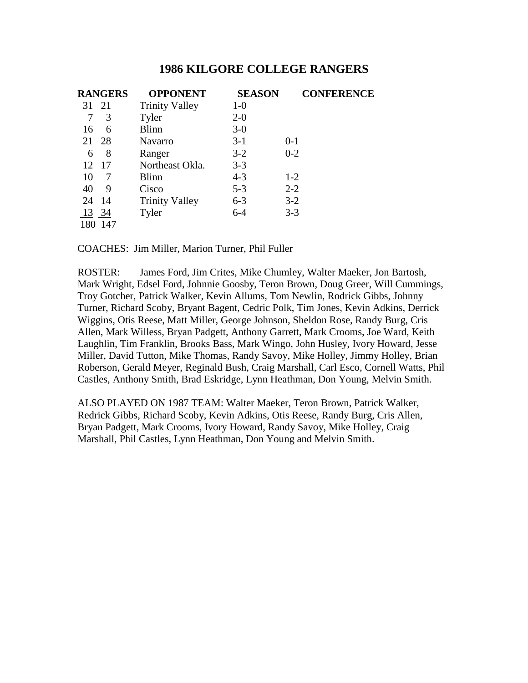|       | <b>RANGERS</b> | <b>OPPONENT</b>       | <b>SEASON</b> | <b>CONFERENCE</b> |
|-------|----------------|-----------------------|---------------|-------------------|
| 31    | 21             | <b>Trinity Valley</b> | $1-0$         |                   |
| 7     | 3              | Tyler                 | $2 - 0$       |                   |
| 16    | 6              | <b>Blinn</b>          | $3-0$         |                   |
| 21    | 28             | <b>Navarro</b>        | $3-1$         | $0 - 1$           |
| 6     | 8              | Ranger                | $3-2$         | $0 - 2$           |
| 12    | 17             | Northeast Okla.       | $3 - 3$       |                   |
| 10    | 7              | <b>Blinn</b>          | $4 - 3$       | $1-2$             |
| 40    | 9              | Cisco                 | $5 - 3$       | $2 - 2$           |
| 24    | -14            | <b>Trinity Valley</b> | $6 - 3$       | $3 - 2$           |
| 13 34 |                | Tyler                 | $6 - 4$       | $3 - 3$           |
| 180   | -147           |                       |               |                   |

COACHES: Jim Miller, Marion Turner, Phil Fuller

ROSTER: James Ford, Jim Crites, Mike Chumley, Walter Maeker, Jon Bartosh, Mark Wright, Edsel Ford, Johnnie Goosby, Teron Brown, Doug Greer, Will Cummings, Troy Gotcher, Patrick Walker, Kevin Allums, Tom Newlin, Rodrick Gibbs, Johnny Turner, Richard Scoby, Bryant Bagent, Cedric Polk, Tim Jones, Kevin Adkins, Derrick Wiggins, Otis Reese, Matt Miller, George Johnson, Sheldon Rose, Randy Burg, Cris Allen, Mark Willess, Bryan Padgett, Anthony Garrett, Mark Crooms, Joe Ward, Keith Laughlin, Tim Franklin, Brooks Bass, Mark Wingo, John Husley, Ivory Howard, Jesse Miller, David Tutton, Mike Thomas, Randy Savoy, Mike Holley, Jimmy Holley, Brian Roberson, Gerald Meyer, Reginald Bush, Craig Marshall, Carl Esco, Cornell Watts, Phil Castles, Anthony Smith, Brad Eskridge, Lynn Heathman, Don Young, Melvin Smith.

ALSO PLAYED ON 1987 TEAM: Walter Maeker, Teron Brown, Patrick Walker, Redrick Gibbs, Richard Scoby, Kevin Adkins, Otis Reese, Randy Burg, Cris Allen, Bryan Padgett, Mark Crooms, Ivory Howard, Randy Savoy, Mike Holley, Craig Marshall, Phil Castles, Lynn Heathman, Don Young and Melvin Smith.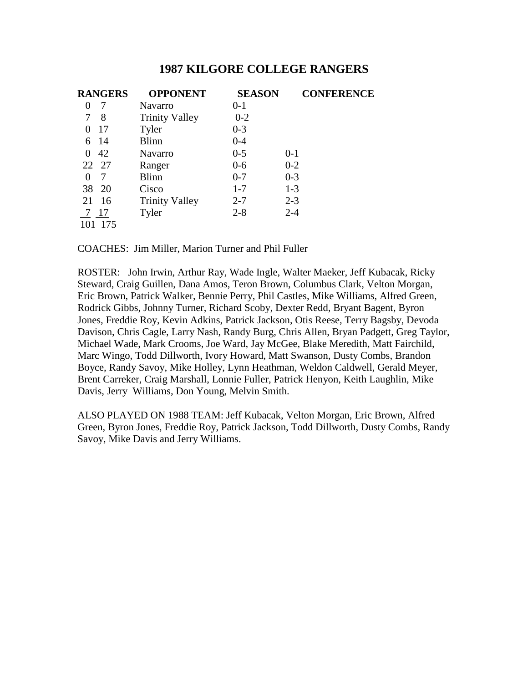| <b>RANGERS</b> | <b>OPPONENT</b>       | <b>SEASON</b> | <b>CONFERENCE</b> |
|----------------|-----------------------|---------------|-------------------|
| 7<br>0         | Navarro               | $0 - 1$       |                   |
| 8              | <b>Trinity Valley</b> | $0 - 2$       |                   |
| 17<br>$\theta$ | Tyler                 | $0 - 3$       |                   |
| 6 14           | <b>Blinn</b>          | $0 - 4$       |                   |
| 42<br>$\theta$ | <b>Navarro</b>        | $0 - 5$       | $0 - 1$           |
| 22 27          | Ranger                | $0-6$         | $0 - 2$           |
| 7<br>0         | <b>Blinn</b>          | $0 - 7$       | $0 - 3$           |
| 20<br>38       | Cisco                 | $1 - 7$       | $1 - 3$           |
| 16<br>21       | <b>Trinity Valley</b> | $2 - 7$       | $2 - 3$           |
| 7 17           | Tyler                 | $2 - 8$       | $2 - 4$           |
| 175            |                       |               |                   |

COACHES: Jim Miller, Marion Turner and Phil Fuller

ROSTER: John Irwin, Arthur Ray, Wade Ingle, Walter Maeker, Jeff Kubacak, Ricky Steward, Craig Guillen, Dana Amos, Teron Brown, Columbus Clark, Velton Morgan, Eric Brown, Patrick Walker, Bennie Perry, Phil Castles, Mike Williams, Alfred Green, Rodrick Gibbs, Johnny Turner, Richard Scoby, Dexter Redd, Bryant Bagent, Byron Jones, Freddie Roy, Kevin Adkins, Patrick Jackson, Otis Reese, Terry Bagsby, Devoda Davison, Chris Cagle, Larry Nash, Randy Burg, Chris Allen, Bryan Padgett, Greg Taylor, Michael Wade, Mark Crooms, Joe Ward, Jay McGee, Blake Meredith, Matt Fairchild, Marc Wingo, Todd Dillworth, Ivory Howard, Matt Swanson, Dusty Combs, Brandon Boyce, Randy Savoy, Mike Holley, Lynn Heathman, Weldon Caldwell, Gerald Meyer, Brent Carreker, Craig Marshall, Lonnie Fuller, Patrick Henyon, Keith Laughlin, Mike Davis, Jerry Williams, Don Young, Melvin Smith.

ALSO PLAYED ON 1988 TEAM: Jeff Kubacak, Velton Morgan, Eric Brown, Alfred Green, Byron Jones, Freddie Roy, Patrick Jackson, Todd Dillworth, Dusty Combs, Randy Savoy, Mike Davis and Jerry Williams.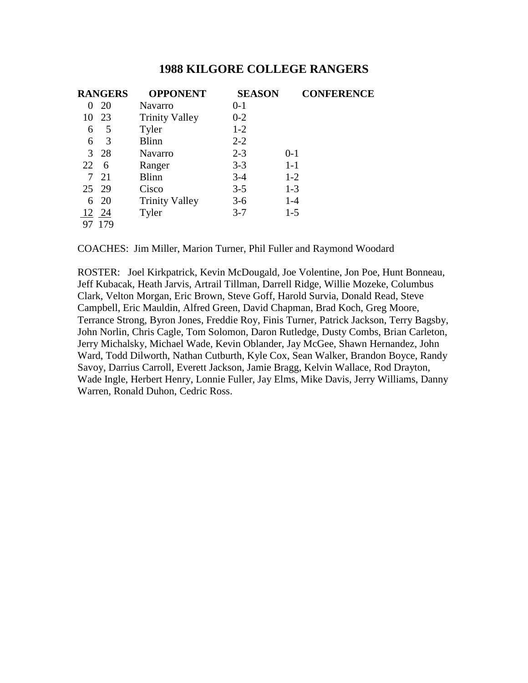|          | <b>RANGERS</b> | <b>OPPONENT</b>       | <b>SEASON</b> | <b>CONFERENCE</b> |
|----------|----------------|-----------------------|---------------|-------------------|
| $\theta$ | 20             | Navarro               | $0 - 1$       |                   |
| 10       | 23             | <b>Trinity Valley</b> | $0 - 2$       |                   |
| 6        | 5              | Tyler                 | $1-2$         |                   |
| 6        | 3              | <b>Blinn</b>          | $2 - 2$       |                   |
|          | 3 28           | Navarro               | $2 - 3$       | $0 - 1$           |
| 22       | 6              | Ranger                | $3 - 3$       | $1-1$             |
|          | 7 21           | <b>Blinn</b>          | $3-4$         | $1-2$             |
| 25 29    |                | Cisco                 | $3 - 5$       | $1 - 3$           |
|          | 6 20           | <b>Trinity Valley</b> | $3-6$         | $1-4$             |
| 12 24    |                | Tyler                 | $3 - 7$       | $1-5$             |
|          | 97 179         |                       |               |                   |

COACHES: Jim Miller, Marion Turner, Phil Fuller and Raymond Woodard

ROSTER: Joel Kirkpatrick, Kevin McDougald, Joe Volentine, Jon Poe, Hunt Bonneau, Jeff Kubacak, Heath Jarvis, Artrail Tillman, Darrell Ridge, Willie Mozeke, Columbus Clark, Velton Morgan, Eric Brown, Steve Goff, Harold Survia, Donald Read, Steve Campbell, Eric Mauldin, Alfred Green, David Chapman, Brad Koch, Greg Moore, Terrance Strong, Byron Jones, Freddie Roy, Finis Turner, Patrick Jackson, Terry Bagsby, John Norlin, Chris Cagle, Tom Solomon, Daron Rutledge, Dusty Combs, Brian Carleton, Jerry Michalsky, Michael Wade, Kevin Oblander, Jay McGee, Shawn Hernandez, John Ward, Todd Dilworth, Nathan Cutburth, Kyle Cox, Sean Walker, Brandon Boyce, Randy Savoy, Darrius Carroll, Everett Jackson, Jamie Bragg, Kelvin Wallace, Rod Drayton, Wade Ingle, Herbert Henry, Lonnie Fuller, Jay Elms, Mike Davis, Jerry Williams, Danny Warren, Ronald Duhon, Cedric Ross.